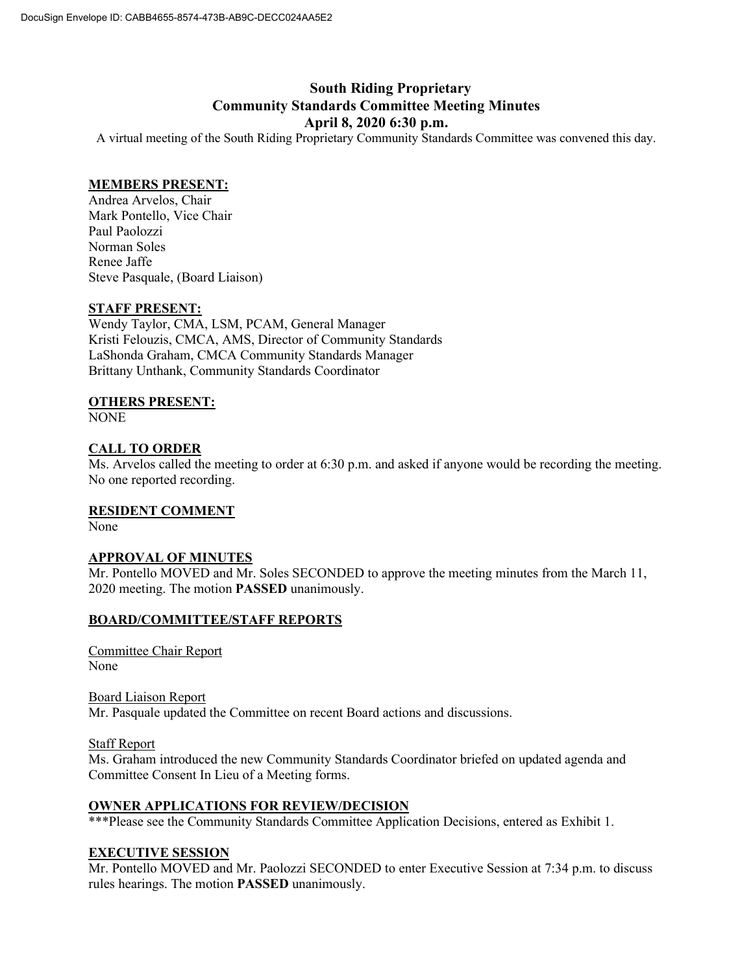# **South Riding Proprietary Community Standards Committee Meeting Minutes April 8, 2020 6:30 p.m.**

A virtual meeting of the South Riding Proprietary Community Standards Committee was convened this day.

#### **MEMBERS PRESENT:**

Andrea Arvelos, Chair Mark Pontello, Vice Chair Paul Paolozzi Norman Soles Renee Jaffe Steve Pasquale, (Board Liaison)

## **STAFF PRESENT:**

Wendy Taylor, CMA, LSM, PCAM, General Manager Kristi Felouzis, CMCA, AMS, Director of Community Standards LaShonda Graham, CMCA Community Standards Manager Brittany Unthank, Community Standards Coordinator

#### **OTHERS PRESENT:**

NONE

## **CALL TO ORDER**

Ms. Arvelos called the meeting to order at 6:30 p.m. and asked if anyone would be recording the meeting. No one reported recording.

## **RESIDENT COMMENT**

None

## **APPROVAL OF MINUTES**

Mr. Pontello MOVED and Mr. Soles SECONDED to approve the meeting minutes from the March 11, 2020 meeting. The motion **PASSED** unanimously.

## **BOARD/COMMITTEE/STAFF REPORTS**

Committee Chair Report None

Board Liaison Report Mr. Pasquale updated the Committee on recent Board actions and discussions.

Staff Report

Ms. Graham introduced the new Community Standards Coordinator briefed on updated agenda and Committee Consent In Lieu of a Meeting forms.

#### **OWNER APPLICATIONS FOR REVIEW/DECISION**

\*\*\*Please see the Community Standards Committee Application Decisions, entered as Exhibit 1.

## **EXECUTIVE SESSION**

Mr. Pontello MOVED and Mr. Paolozzi SECONDED to enter Executive Session at 7:34 p.m. to discuss rules hearings. The motion **PASSED** unanimously.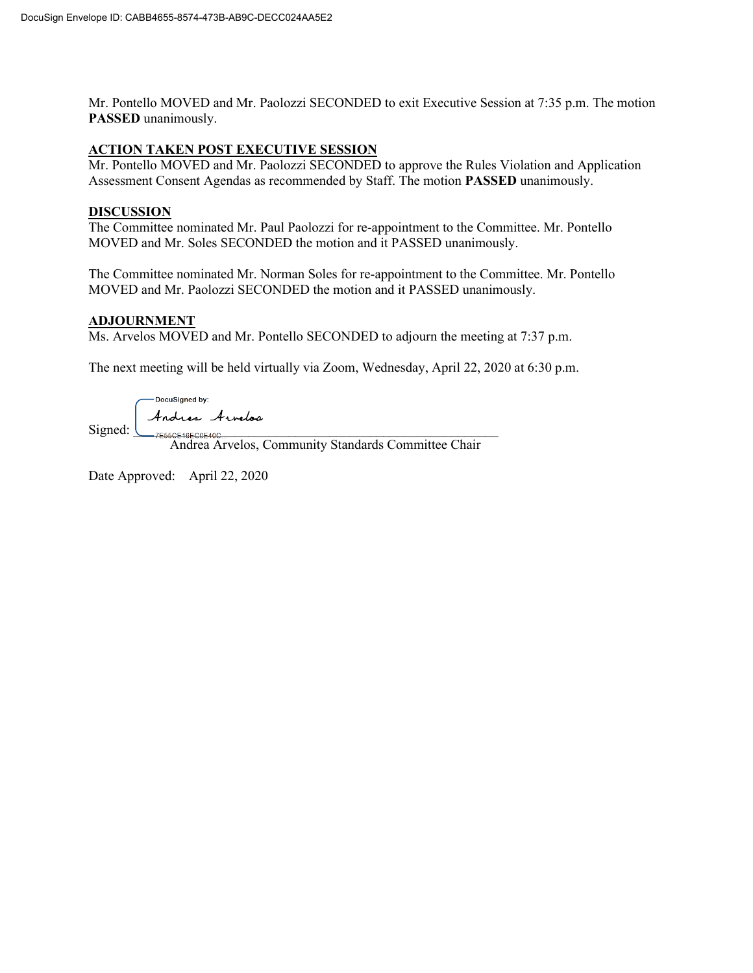Mr. Pontello MOVED and Mr. Paolozzi SECONDED to exit Executive Session at 7:35 p.m. The motion **PASSED** unanimously.

# **ACTION TAKEN POST EXECUTIVE SESSION**

Mr. Pontello MOVED and Mr. Paolozzi SECONDED to approve the Rules Violation and Application Assessment Consent Agendas as recommended by Staff. The motion **PASSED** unanimously.

#### **DISCUSSION**

The Committee nominated Mr. Paul Paolozzi for re-appointment to the Committee. Mr. Pontello MOVED and Mr. Soles SECONDED the motion and it PASSED unanimously.

The Committee nominated Mr. Norman Soles for re-appointment to the Committee. Mr. Pontello MOVED and Mr. Paolozzi SECONDED the motion and it PASSED unanimously.

## **ADJOURNMENT**

Ms. Arvelos MOVED and Mr. Pontello SECONDED to adjourn the meeting at 7:37 p.m.

The next meeting will be held virtually via Zoom, Wednesday, April 22, 2020 at 6:30 p.m.

DocuSigned by: Andrea Arnelos  $Signal: \_\_\_\_7 \_\_555 \subseteq 16 \subseteq COE40 \subseteq \_\_\_\_\_7$ 

Andrea Arvelos, Community Standards Committee Chair

Date Approved: April 22, 2020